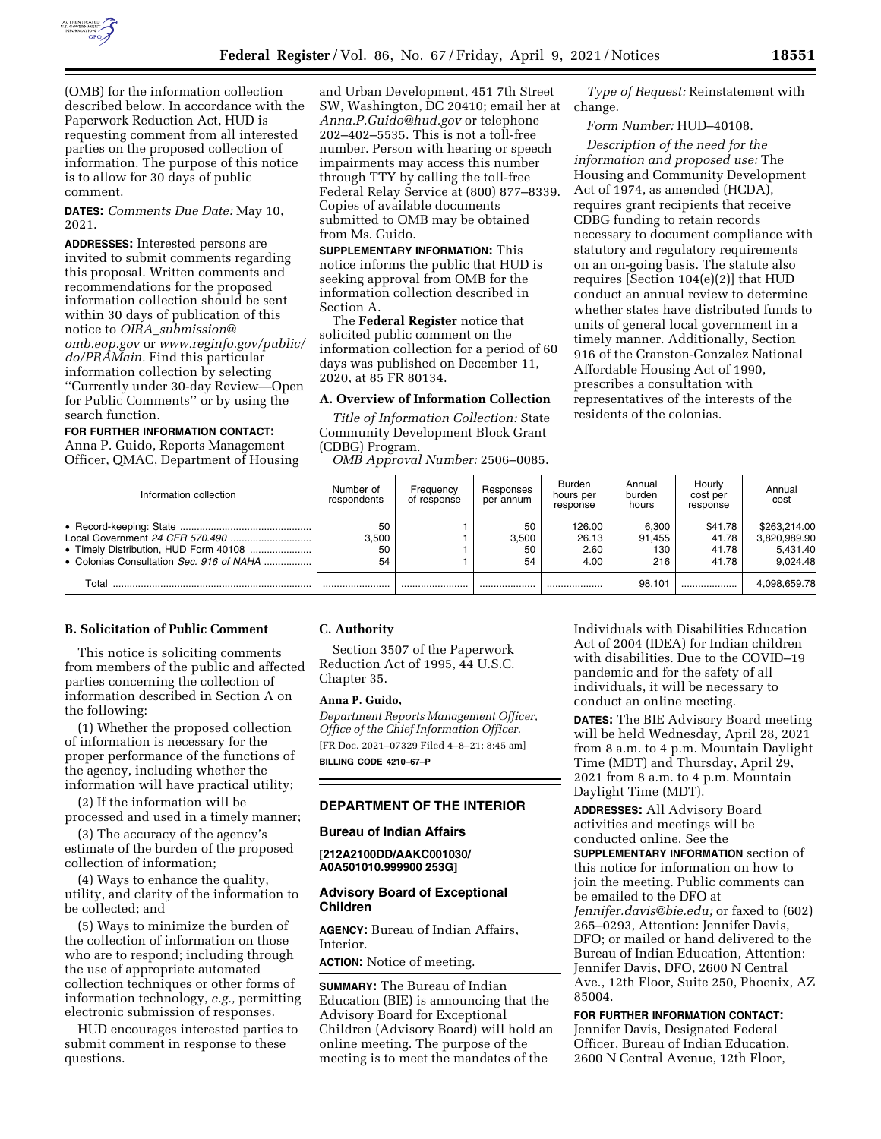

(OMB) for the information collection described below. In accordance with the Paperwork Reduction Act, HUD is requesting comment from all interested parties on the proposed collection of information. The purpose of this notice is to allow for 30 days of public comment.

**DATES:** *Comments Due Date:* May 10, 2021.

**ADDRESSES:** Interested persons are invited to submit comments regarding this proposal. Written comments and recommendations for the proposed information collection should be sent within 30 days of publication of this notice to *OIRA*\_*[submission@](mailto:OIRA_submission@omb.eop.gov) [omb.eop.gov](mailto:OIRA_submission@omb.eop.gov)* or *[www.reginfo.gov/public/](http://www.reginfo.gov/public/do/PRAMain) [do/PRAMain.](http://www.reginfo.gov/public/do/PRAMain)* Find this particular information collection by selecting ''Currently under 30-day Review—Open for Public Comments'' or by using the search function.

# **FOR FURTHER INFORMATION CONTACT:**

Anna P. Guido, Reports Management Officer, QMAC, Department of Housing and Urban Development, 451 7th Street SW, Washington, DC 20410; email her at *[Anna.P.Guido@hud.gov](mailto:Anna.P.Guido@hud.gov)* or telephone 202–402–5535. This is not a toll-free number. Person with hearing or speech impairments may access this number through TTY by calling the toll-free Federal Relay Service at (800) 877–8339. Copies of available documents submitted to OMB may be obtained from Ms. Guido.

**SUPPLEMENTARY INFORMATION:** This notice informs the public that HUD is seeking approval from OMB for the information collection described in Section A.

The **Federal Register** notice that solicited public comment on the information collection for a period of 60 days was published on December 11, 2020, at 85 FR 80134.

# **A. Overview of Information Collection**

*Title of Information Collection:* State Community Development Block Grant (CDBG) Program.

*OMB Approval Number:* 2506–0085.

*Type of Request:* Reinstatement with change.

*Form Number:* HUD–40108.

*Description of the need for the information and proposed use:* The Housing and Community Development Act of 1974, as amended (HCDA), requires grant recipients that receive CDBG funding to retain records necessary to document compliance with statutory and regulatory requirements on an on-going basis. The statute also requires [Section 104(e)(2)] that HUD conduct an annual review to determine whether states have distributed funds to units of general local government in a timely manner. Additionally, Section 916 of the Cranston-Gonzalez National Affordable Housing Act of 1990, prescribes a consultation with representatives of the interests of the residents of the colonias.

| Information collection                   | Number of<br>respondents | Frequency<br>of response | Responses<br>per annum  | Burden<br>hours per<br>response | Annual<br>burden<br>hours     | Hourly<br>cost per<br>response     | Annual<br>cost                                       |
|------------------------------------------|--------------------------|--------------------------|-------------------------|---------------------------------|-------------------------------|------------------------------------|------------------------------------------------------|
| • Colonias Consultation Sec. 916 of NAHA | 50<br>3.500<br>50<br>54  |                          | 50<br>3.500<br>50<br>54 | 126.00<br>26.13<br>2.60<br>4.00 | 6.300<br>91.455<br>130<br>216 | \$41.78<br>41.78<br>41.78<br>41.78 | \$263.214.00<br>3,820,989.90<br>5.431.40<br>9.024.48 |
| Total                                    |                          |                          | .                       |                                 | 98.101                        |                                    | 4.098.659.78                                         |

#### **B. Solicitation of Public Comment**

This notice is soliciting comments from members of the public and affected parties concerning the collection of information described in Section A on the following:

(1) Whether the proposed collection of information is necessary for the proper performance of the functions of the agency, including whether the information will have practical utility;

(2) If the information will be processed and used in a timely manner;

(3) The accuracy of the agency's estimate of the burden of the proposed collection of information;

(4) Ways to enhance the quality, utility, and clarity of the information to be collected; and

(5) Ways to minimize the burden of the collection of information on those who are to respond; including through the use of appropriate automated collection techniques or other forms of information technology, *e.g.,* permitting electronic submission of responses.

HUD encourages interested parties to submit comment in response to these questions.

#### **C. Authority**

Section 3507 of the Paperwork Reduction Act of 1995, 44 U.S.C. Chapter 35.

#### **Anna P. Guido,**

*Department Reports Management Officer, Office of the Chief Information Officer.*  [FR Doc. 2021–07329 Filed 4–8–21; 8:45 am] **BILLING CODE 4210–67–P** 

# **DEPARTMENT OF THE INTERIOR**

#### **Bureau of Indian Affairs**

**[212A2100DD/AAKC001030/ A0A501010.999900 253G]** 

#### **Advisory Board of Exceptional Children**

**AGENCY:** Bureau of Indian Affairs, Interior.

**ACTION:** Notice of meeting.

**SUMMARY:** The Bureau of Indian Education (BIE) is announcing that the Advisory Board for Exceptional Children (Advisory Board) will hold an online meeting. The purpose of the meeting is to meet the mandates of the

Individuals with Disabilities Education Act of 2004 (IDEA) for Indian children with disabilities. Due to the COVID–19 pandemic and for the safety of all individuals, it will be necessary to conduct an online meeting.

**DATES:** The BIE Advisory Board meeting will be held Wednesday, April 28, 2021 from 8 a.m. to 4 p.m. Mountain Daylight Time (MDT) and Thursday, April 29, 2021 from 8 a.m. to 4 p.m. Mountain Daylight Time (MDT).

**ADDRESSES:** All Advisory Board activities and meetings will be conducted online. See the **SUPPLEMENTARY INFORMATION** section of this notice for information on how to join the meeting. Public comments can be emailed to the DFO at *[Jennifer.davis@bie.edu;](mailto:Jennifer.davis@bie.edu)* or faxed to (602) 265–0293, Attention: Jennifer Davis, DFO; or mailed or hand delivered to the Bureau of Indian Education, Attention: Jennifer Davis, DFO, 2600 N Central Ave., 12th Floor, Suite 250, Phoenix, AZ 85004.

### **FOR FURTHER INFORMATION CONTACT:**

Jennifer Davis, Designated Federal Officer, Bureau of Indian Education, 2600 N Central Avenue, 12th Floor,